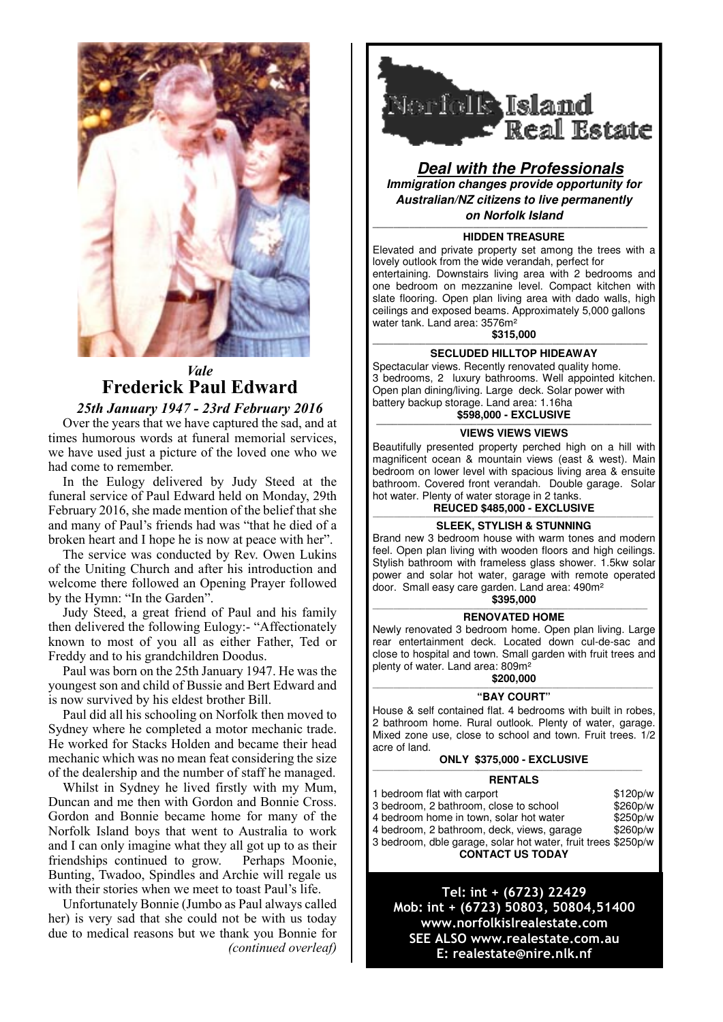

## *Vale* **Frederick Paul Edward**

## *25th January 1947 - 23rd February 2016*

Over the years that we have captured the sad, and at times humorous words at funeral memorial services, we have used just a picture of the loved one who we had come to remember.

In the Eulogy delivered by Judy Steed at the funeral service of Paul Edward held on Monday, 29th February 2016, she made mention of the belief that she and many of Paul's friends had was "that he died of a broken heart and I hope he is now at peace with her".

The service was conducted by Rev. Owen Lukins of the Uniting Church and after his introduction and welcome there followed an Opening Prayer followed by the Hymn: "In the Garden".

Judy Steed, a great friend of Paul and his family then delivered the following Eulogy:- "Affectionately known to most of you all as either Father, Ted or Freddy and to his grandchildren Doodus.

Paul was born on the 25th January 1947. He was the youngest son and child of Bussie and Bert Edward and is now survived by his eldest brother Bill.

Paul did all his schooling on Norfolk then moved to Sydney where he completed a motor mechanic trade. He worked for Stacks Holden and became their head mechanic which was no mean feat considering the size of the dealership and the number of staff he managed.

Whilst in Sydney he lived firstly with my Mum, Duncan and me then with Gordon and Bonnie Cross. Gordon and Bonnie became home for many of the Norfolk Island boys that went to Australia to work and I can only imagine what they all got up to as their friendships continued to grow. Perhaps Moonie, Bunting, Twadoo, Spindles and Archie will regale us with their stories when we meet to toast Paul's life.

Unfortunately Bonnie (Jumbo as Paul always called her) is very sad that she could not be with us today due to medical reasons but we thank you Bonnie for *(continued overleaf)*



**Deal with the Professionals Immigration changes provide opportunity for Australian/NZ citizens to live permanently** 

### **on Norfolk Island**

#### **———————————————————————————————————————————————————— HIDDEN TREASURE**

Elevated and private property set among the trees with a lovely outlook from the wide verandah, perfect for entertaining. Downstairs living area with 2 bedrooms and one bedroom on mezzanine level. Compact kitchen with slate flooring. Open plan living area with dado walls, high ceilings and exposed beams. Approximately 5,000 gallons water tank. Land area: 3576m²

**\$315,000**

#### **———————————————————————————————————————————————————— SECLUDED HILLTOP HIDEAWAY**

Spectacular views. Recently renovated quality home. 3 bedrooms, 2 luxury bathrooms. Well appointed kitchen. Open plan dining/living. Large deck. Solar power with battery backup storage. Land area: 1.16ha **\$598,000 - EXCLUSIVE**

#### **———————————————————————————————————————————————————— VIEWS VIEWS VIEWS**

Beautifully presented property perched high on a hill with magnificent ocean & mountain views (east & west). Main bedroom on lower level with spacious living area & ensuite bathroom. Covered front verandah. Double garage. Solar hot water. Plenty of water storage in 2 tanks.

## **REUCED \$485,000 - EXCLUSIVE**

#### ————————————————————————————————————————————————————— **SLEEK, STYLISH & STUNNING**

Brand new 3 bedroom house with warm tones and modern feel. Open plan living with wooden floors and high ceilings. Stylish bathroom with frameless glass shower. 1.5kw solar power and solar hot water, garage with remote operated door. Small easy care garden. Land area: 490m²

## **\$395,000** ————————————————————————————————————————————————————

### **RENOVATED HOME**

Newly renovated 3 bedroom home. Open plan living. Large rear entertainment deck. Located down cul-de-sac and close to hospital and town. Small garden with fruit trees and plenty of water. Land area: 809m²

### **\$200,000**

#### ————————————————————————————————————————————————————— **"BAY COURT"**

House & self contained flat. 4 bedrooms with built in robes, 2 bathroom home. Rural outlook. Plenty of water, garage. Mixed zone use, close to school and town. Fruit trees. 1/2 acre of land.

## **ONLY \$375,000 - EXCLUSIVE**

#### ——————————————————————————————————————————————————— **RENTALS**

1 bedroom flat with carport \$120p/w 3 bedroom, 2 bathroom, close to school \$260p/w<br>4 bedroom home in town, solar hot water \$250p/w 4 bedroom home in town, solar hot water 4 bedroom, 2 bathroom, deck, views, garage \$260p/w 3 bedroom, dble garage, solar hot water, fruit trees \$250p/w **CONTACT US TODAY** 

Tel: int + (6723) 22429 Mob: int + (6723) 50803, 50804,51400 www.norfolkislrealestate.com SEE ALSO www.realestate.com.au E: realestate@nire.nlk.nf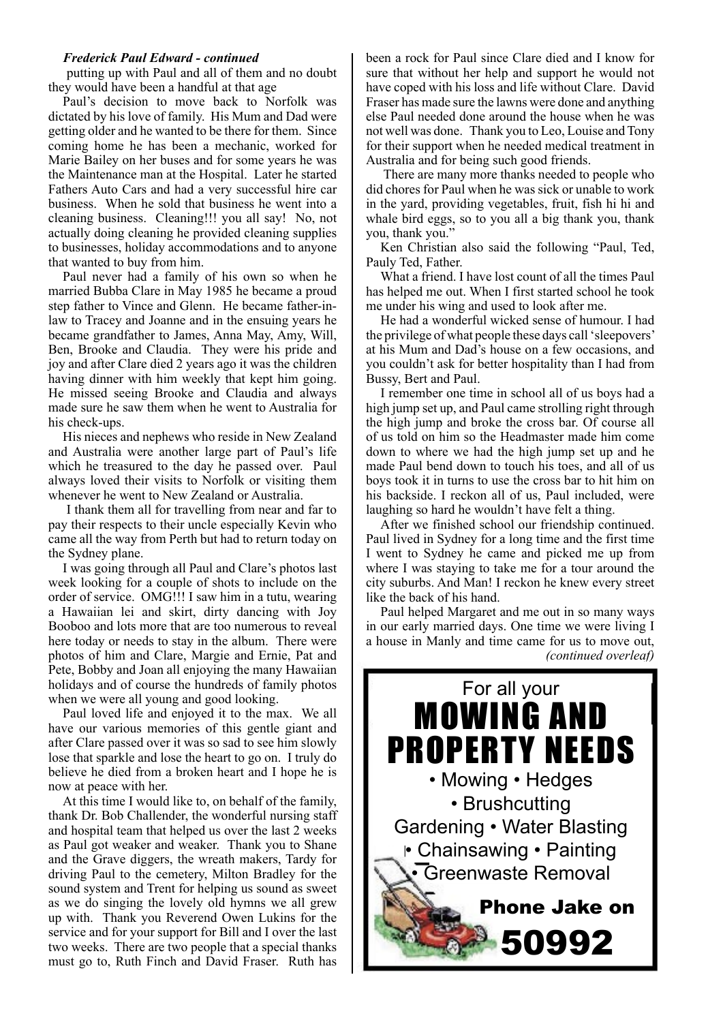## *Frederick Paul Edward - continued*

 putting up with Paul and all of them and no doubt they would have been a handful at that age

Paul's decision to move back to Norfolk was dictated by his love of family. His Mum and Dad were getting older and he wanted to be there for them. Since coming home he has been a mechanic, worked for Marie Bailey on her buses and for some years he was the Maintenance man at the Hospital. Later he started Fathers Auto Cars and had a very successful hire car business. When he sold that business he went into a cleaning business. Cleaning!!! you all say! No, not actually doing cleaning he provided cleaning supplies to businesses, holiday accommodations and to anyone that wanted to buy from him.

Paul never had a family of his own so when he married Bubba Clare in May 1985 he became a proud step father to Vince and Glenn. He became father-inlaw to Tracey and Joanne and in the ensuing years he became grandfather to James, Anna May, Amy, Will, Ben, Brooke and Claudia. They were his pride and joy and after Clare died 2 years ago it was the children having dinner with him weekly that kept him going. He missed seeing Brooke and Claudia and always made sure he saw them when he went to Australia for his check-ups.

His nieces and nephews who reside in New Zealand and Australia were another large part of Paul's life which he treasured to the day he passed over. Paul always loved their visits to Norfolk or visiting them whenever he went to New Zealand or Australia.

 I thank them all for travelling from near and far to pay their respects to their uncle especially Kevin who came all the way from Perth but had to return today on the Sydney plane.

I was going through all Paul and Clare's photos last week looking for a couple of shots to include on the order of service. OMG!!! I saw him in a tutu, wearing a Hawaiian lei and skirt, dirty dancing with Joy Booboo and lots more that are too numerous to reveal here today or needs to stay in the album. There were photos of him and Clare, Margie and Ernie, Pat and Pete, Bobby and Joan all enjoying the many Hawaiian holidays and of course the hundreds of family photos when we were all young and good looking.

Paul loved life and enjoyed it to the max. We all have our various memories of this gentle giant and after Clare passed over it was so sad to see him slowly lose that sparkle and lose the heart to go on. I truly do believe he died from a broken heart and I hope he is now at peace with her.

At this time I would like to, on behalf of the family, thank Dr. Bob Challender, the wonderful nursing staff and hospital team that helped us over the last 2 weeks as Paul got weaker and weaker. Thank you to Shane and the Grave diggers, the wreath makers, Tardy for driving Paul to the cemetery, Milton Bradley for the sound system and Trent for helping us sound as sweet as we do singing the lovely old hymns we all grew up with. Thank you Reverend Owen Lukins for the service and for your support for Bill and I over the last two weeks. There are two people that a special thanks must go to, Ruth Finch and David Fraser. Ruth has

been a rock for Paul since Clare died and I know for sure that without her help and support he would not have coped with his loss and life without Clare. David Fraser has made sure the lawns were done and anything else Paul needed done around the house when he was not well was done. Thank you to Leo, Louise and Tony for their support when he needed medical treatment in Australia and for being such good friends.

 There are many more thanks needed to people who did chores for Paul when he was sick or unable to work in the yard, providing vegetables, fruit, fish hi hi and whale bird eggs, so to you all a big thank you, thank you, thank you."

Ken Christian also said the following "Paul, Ted, Pauly Ted, Father.

What a friend. I have lost count of all the times Paul has helped me out. When I first started school he took me under his wing and used to look after me.

He had a wonderful wicked sense of humour. I had the privilege of what people these days call 'sleepovers' at his Mum and Dad's house on a few occasions, and you couldn't ask for better hospitality than I had from Bussy, Bert and Paul.

I remember one time in school all of us boys had a high jump set up, and Paul came strolling right through the high jump and broke the cross bar. Of course all of us told on him so the Headmaster made him come down to where we had the high jump set up and he made Paul bend down to touch his toes, and all of us boys took it in turns to use the cross bar to hit him on his backside. I reckon all of us, Paul included, were laughing so hard he wouldn't have felt a thing.

After we finished school our friendship continued. Paul lived in Sydney for a long time and the first time I went to Sydney he came and picked me up from where I was staying to take me for a tour around the city suburbs. And Man! I reckon he knew every street like the back of his hand.

Paul helped Margaret and me out in so many ways in our early married days. One time we were living I a house in Manly and time came for us to move out, *(continued overleaf)*